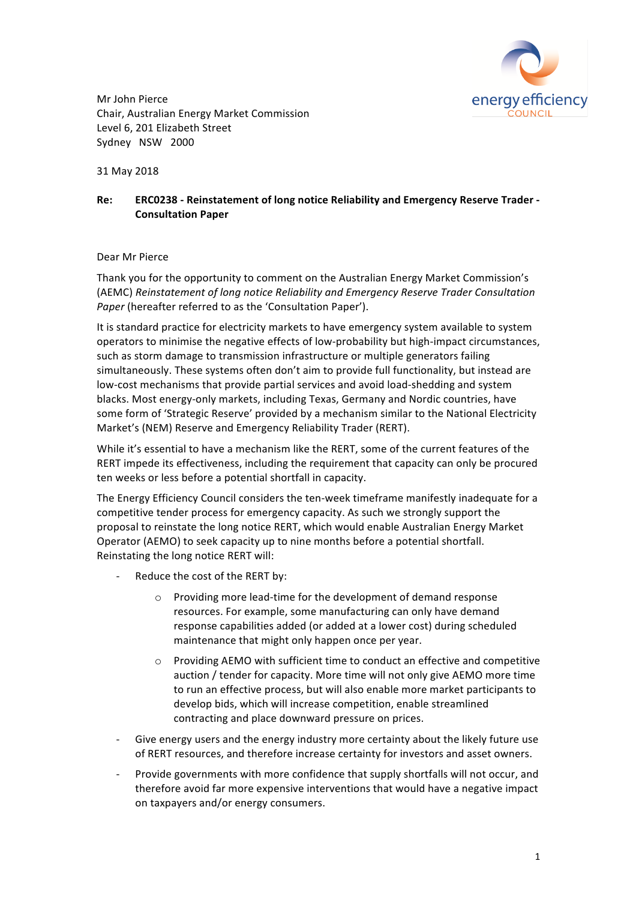

Mr John Pierce Chair, Australian Energy Market Commission Level 6, 201 Elizabeth Street Sydney NSW 2000

31 May 2018

## Re: **ERC0238** - Reinstatement of long notice Reliability and Emergency Reserve Trader -**Consultation Paper**

## Dear Mr Pierce

Thank you for the opportunity to comment on the Australian Energy Market Commission's (AEMC) *Reinstatement of long notice Reliability and Emergency Reserve Trader Consultation Paper* (hereafter referred to as the 'Consultation Paper').

It is standard practice for electricity markets to have emergency system available to system operators to minimise the negative effects of low-probability but high-impact circumstances, such as storm damage to transmission infrastructure or multiple generators failing simultaneously. These systems often don't aim to provide full functionality, but instead are low-cost mechanisms that provide partial services and avoid load-shedding and system blacks. Most energy-only markets, including Texas, Germany and Nordic countries, have some form of 'Strategic Reserve' provided by a mechanism similar to the National Electricity Market's (NEM) Reserve and Emergency Reliability Trader (RERT).

While it's essential to have a mechanism like the RERT, some of the current features of the RERT impede its effectiveness, including the requirement that capacity can only be procured ten weeks or less before a potential shortfall in capacity.

The Energy Efficiency Council considers the ten-week timeframe manifestly inadequate for a competitive tender process for emergency capacity. As such we strongly support the proposal to reinstate the long notice RERT, which would enable Australian Energy Market Operator (AEMO) to seek capacity up to nine months before a potential shortfall. Reinstating the long notice RERT will:

- Reduce the cost of the RERT by:
	- $\circ$  Providing more lead-time for the development of demand response resources. For example, some manufacturing can only have demand response capabilities added (or added at a lower cost) during scheduled maintenance that might only happen once per year.
	- $\circ$  Providing AEMO with sufficient time to conduct an effective and competitive auction / tender for capacity. More time will not only give AEMO more time to run an effective process, but will also enable more market participants to develop bids, which will increase competition, enable streamlined contracting and place downward pressure on prices.
- Give energy users and the energy industry more certainty about the likely future use of RERT resources, and therefore increase certainty for investors and asset owners.
- Provide governments with more confidence that supply shortfalls will not occur, and therefore avoid far more expensive interventions that would have a negative impact on taxpayers and/or energy consumers.